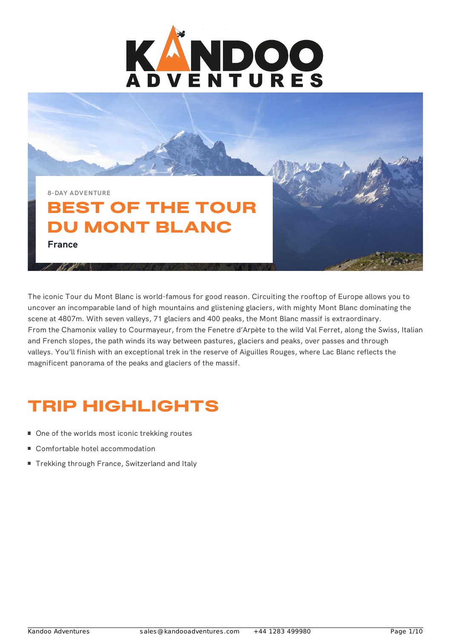

**8-DAY ADVENTURE**

## BEST OF THE TOUR DU MONT BLANC **France**

The iconic Tour du Mont Blanc is world-famous for good reason. Circuiting the rooftop of Europe allows you to uncover an incomparable land of high mountains and glistening glaciers, with mighty Mont Blanc dominating the scene at 4807m. With seven valleys, 71 glaciers and 400 peaks, the Mont Blanc massif is extraordinary. From the Chamonix valley to Courmayeur, from the Fenetre d'Arpète to the wild Val Ferret, along the Swiss, Italian and French slopes, the path winds its way between pastures, glaciers and peaks, over passes and through valleys. You'll finish with an exceptional trek in the reserve of Aiguilles Rouges, where Lac Blanc reflects the magnificent panorama of the peaks and glaciers of the massif.

## TRIP HIGHLIGHTS

- One of the worlds most iconic trekking routes
- Comfortable hotel accommodation
- Trekking through France, Switzerland and Italy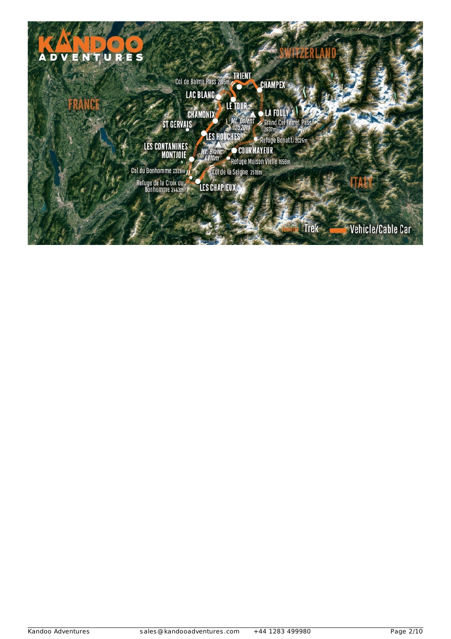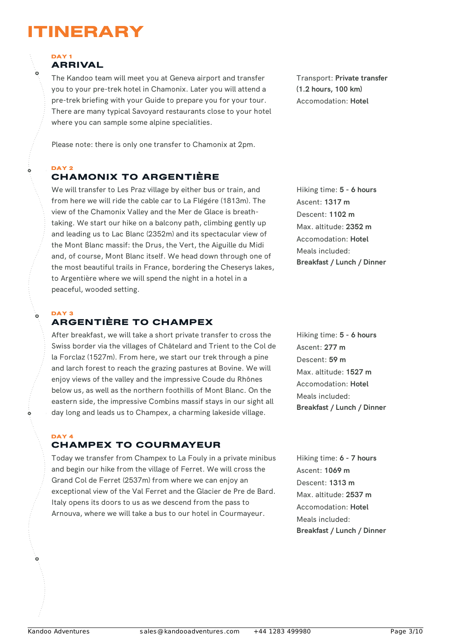## ITINERARY

### DAY<sub>1</sub> ARRIVAL

The Kandoo team will meet you at Geneva airport and transfer you to your pre-trek hotel in Chamonix. Later you will attend a pre-trek briefing with your Guide to prepare you for your tour. There are many typical Savoyard restaurants close to your hotel where you can sample some alpine specialities.

Please note: there is only one transfer to Chamonix at 2pm.

### DAY<sub>2</sub> CHAMONIX TO ARGENTIÈRE

We will transfer to Les Praz village by either bus or train, and from here we will ride the cable car to La Flégére (1813m). The view of the Chamonix Valley and the Mer de Glace is breathtaking. We start our hike on a balcony path, climbing gently up and leading us to Lac Blanc (2352m) and its spectacular view of the Mont Blanc massif: the Drus, the Vert, the Aiguille du Midi and, of course, Mont Blanc itself. We head down through one of the most beautiful trails in France, bordering the Cheserys lakes, to Argentière where we will spend the night in a hotel in a peaceful, wooded setting.

### DAY 3 ARGENTIÈRE TO CHAMPEX

After breakfast, we will take a short private transfer to cross the Swiss border via the villages of Châtelard and Trient to the Col de la Forclaz (1527m). From here, we start our trek through a pine and larch forest to reach the grazing pastures at Bovine. We will enjoy views of the valley and the impressive Coude du Rhônes below us, as well as the northern foothills of Mont Blanc. On the eastern side, the impressive Combins massif stays in our sight all day long and leads us to Champex, a charming lakeside village.

### DAY 4 CHAMPEX TO COURMAYEUR

Today we transfer from Champex to La Fouly in a private minibus and begin our hike from the village of Ferret. We will cross the Grand Col de Ferret (2537m) from where we can enjoy an exceptional view of the Val Ferret and the Glacier de Pre de Bard. Italy opens its doors to us as we descend from the pass to Arnouva, where we will take a bus to our hotel in Courmayeur.

Transport: **Private transfer (1.2 hours, 100 km)** Accomodation: **Hotel**

Hiking time: **5 - 6 hours** Ascent: **1317 m** Descent: **1102 m** Max. altitude: **2352 m** Accomodation: **Hotel** Meals included: **Breakfast / Lunch / Dinner**

Hiking time: **5 - 6 hours** Ascent: **277 m** Descent: **59 m** Max. altitude: **1527 m** Accomodation: **Hotel** Meals included: **Breakfast / Lunch / Dinner**

Hiking time: **6 - 7 hours** Ascent: **1069 m** Descent: **1313 m** Max. altitude: **2537 m** Accomodation: **Hotel** Meals included: **Breakfast / Lunch / Dinner**

 $\overline{0}$ 

Ò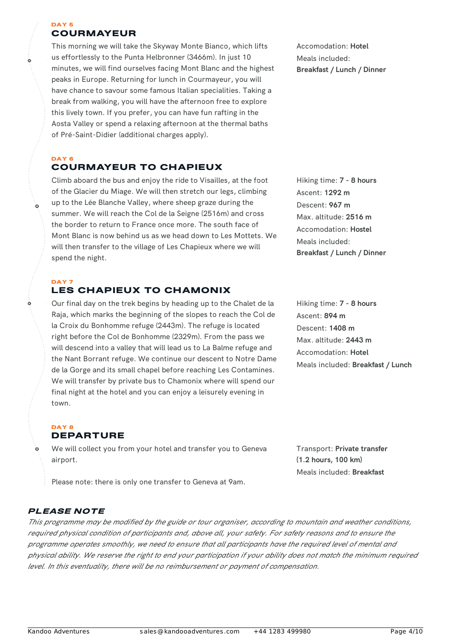#### DAY 5 COURMAYEUR

ò

This morning we will take the Skyway Monte Bianco, which lifts us effortlessly to the Punta Helbronner (3466m). In just 10 minutes, we will find ourselves facing Mont Blanc and the highest peaks in Europe. Returning for lunch in Courmayeur, you will have chance to savour some famous Italian specialities. Taking a break from walking, you will have the afternoon free to explore this lively town. If you prefer, you can have fun rafting in the Aosta Valley or spend a relaxing afternoon at the thermal baths of Pré-Saint-Didier (additional charges apply).

#### DAY<sub>6</sub> COURMAYEUR TO CHAPIEUX

Climb aboard the bus and enjoy the ride to Visailles, at the foot of the Glacier du Miage. We will then stretch our legs, climbing up to the Lée Blanche Valley, where sheep graze during the summer. We will reach the Col de la Seigne (2516m) and cross the border to return to France once more. The south face of Mont Blanc is now behind us as we head down to Les Mottets. We will then transfer to the village of Les Chapieux where we will spend the night.

### DAY<sub>7</sub> LES CHAPIEUX TO CHAMONIX

Our final day on the trek begins by heading up to the Chalet de la Raja, which marks the beginning of the slopes to reach the Col de la Croix du Bonhomme refuge (2443m). The refuge is located right before the Col de Bonhomme (2329m). From the pass we will descend into a valley that will lead us to La Balme refuge and the Nant Borrant refuge. We continue our descent to Notre Dame de la Gorge and its small chapel before reaching Les Contamines. We will transfer by private bus to Chamonix where will spend our final night at the hotel and you can enjoy a leisurely evening in town.

#### DAY 8 DEPARTURE

We will collect you from your hotel and transfer you to Geneva airport.

Please note: there is only one transfer to Geneva at 9am.

## PLEASE NOTE

This programme may be modified by the guide or tour organiser, according to mountain and weather conditions, required physical condition of participants and, above all, your safety. For safety reasons and to ensure the programme operates smoothly, we need to ensure that all participants have the required level of mental and physical ability. We reserve the right to end your participation if your ability does not match the minimum required *level. In this eventuality, there will be no reimbursement or payment of compensation.*

Accomodation: **Hotel** Meals included: **Breakfast / Lunch / Dinner**

Hiking time: **7 - 8 hours** Ascent: **1292 m** Descent: **967 m** Max. altitude: **2516 m** Accomodation: **Hostel** Meals included: **Breakfast / Lunch / Dinner**

Hiking time: **7 - 8 hours** Ascent: **894 m** Descent: **1408 m** Max. altitude: **2443 m** Accomodation: **Hotel** Meals included: **Breakfast / Lunch**

Transport: **Private transfer (1.2 hours, 100 km)** Meals included: **Breakfast**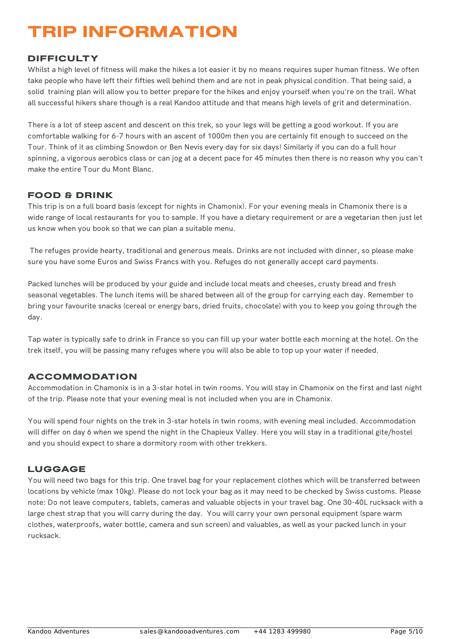## TRIP INFORMATION

## DIFFICULTY

Whilst a high level of fitness will make the hikes a lot easier it by no means requires super human fitness. We often take people who have left their fifties well behind them and are not in peak physical condition. That being said, a solid training plan will allow you to better prepare for the hikes and enjoy yourself when you're on the trail. What all successful hikers share though is a real Kandoo attitude and that means high levels of grit and determination.

There is a lot of steep ascent and descent on this trek, so your legs will be getting a good workout. If you are comfortable walking for 6-7 hours with an ascent of 1000m then you are certainly fit enough to succeed on the Tour. Think of it as climbing Snowdon or Ben Nevis every day for six days! Similarly if you can do a full hour spinning, a vigorous aerobics class or can jog at a decent pace for 45 minutes then there is no reason why you can't make the entire Tour du Mont Blanc.

## FOOD & DRINK

This trip is on a full board basis (except for nights in Chamonix). For your evening meals in Chamonix there is a wide range of local restaurants for you to sample. If you have a dietary requirement or are a vegetarian then just let us know when you book so that we can plan a suitable menu.

The refuges provide hearty, traditional and generous meals. Drinks are not included with dinner, so please make sure you have some Euros and Swiss Francs with you. Refuges do not generally accept card payments.

Packed lunches will be produced by your guide and include local meats and cheeses, crusty bread and fresh seasonal vegetables. The lunch items will be shared between all of the group for carrying each day. Remember to bring your favourite snacks (cereal or energy bars, dried fruits, chocolate) with you to keep you going through the day.

Tap water is typically safe to drink in France so you can fill up your water bottle each morning at the hotel. On the trek itself, you will be passing many refuges where you will also be able to top up your water if needed.

### ACCOMMODATION

Accommodation in Chamonix is in a 3-star hotel in twin rooms. You will stay in Chamonix on the first and last night of the trip. Please note that your evening meal is not included when you are in Chamonix.

You will spend four nights on the trek in 3-star hotels in twin rooms, with evening meal included. Accommodation will differ on day 6 when we spend the night in the Chapieux Valley. Here you will stay in a traditional gite/hostel and you should expect to share a dormitory room with other trekkers.

### LUGGAGE

You will need two bags for this trip. One travel bag for your replacement clothes which will be transferred between locations by vehicle (max 10kg). Please do not lock your bag as it may need to be checked by Swiss customs. Please note: Do not leave computers, tablets, cameras and valuable objects in your travel bag. One 30-40L rucksack with a large chest strap that you will carry during the day. You will carry your own personal equipment (spare warm clothes, waterproofs, water bottle, camera and sun screen) and valuables, as well as your packed lunch in your rucksack.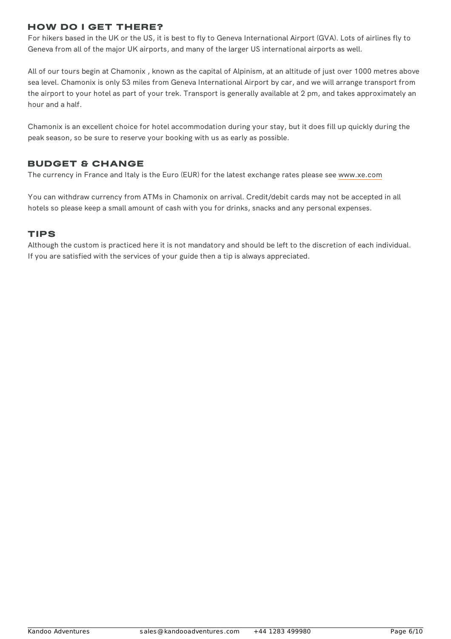## HOW DO I GET THERE?

For hikers based in the UK or the US, it is best to fly to Geneva International Airport (GVA). Lots of airlines fly to Geneva from all of the major UK airports, and many of the larger US international airports as well.

All of our tours begin at Chamonix , known as the capital of Alpinism, at an altitude of just over 1000 metres above sea level. Chamonix is only 53 miles from Geneva International Airport by car, and we will arrange transport from the airport to your hotel as part of your trek. Transport is generally available at 2 pm, and takes approximately an hour and a half.

Chamonix is an excellent choice for hotel accommodation during your stay, but it does fill up quickly during the peak season, so be sure to reserve your booking with us as early as possible.

## BUDGET & CHANGE

The currency in France and Italy is the Euro (EUR) for the latest exchange rates please see [www.xe.com](http://www.xe.com)

You can withdraw currency from ATMs in Chamonix on arrival. Credit/debit cards may not be accepted in all hotels so please keep a small amount of cash with you for drinks, snacks and any personal expenses.

## TIPS

Although the custom is practiced here it is not mandatory and should be left to the discretion of each individual. If you are satisfied with the services of your guide then a tip is always appreciated.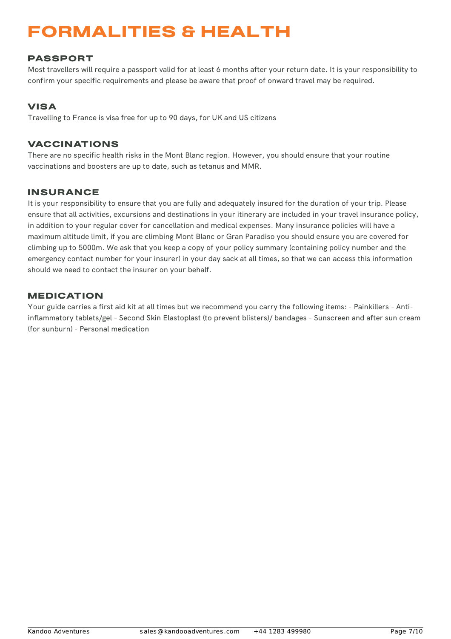## FORMALITIES & HEALTH

## PASSPORT

Most travellers will require a passport valid for at least 6 months after your return date. It is your responsibility to confirm your specific requirements and please be aware that proof of onward travel may be required.

## VISA

Travelling to France is visa free for up to 90 days, for UK and US citizens

## VACCINATIONS

There are no specific health risks in the Mont Blanc region. However, you should ensure that your routine vaccinations and boosters are up to date, such as tetanus and MMR.

## INSURANCE

It is your responsibility to ensure that you are fully and adequately insured for the duration of your trip. Please ensure that all activities, excursions and destinations in your itinerary are included in your travel insurance policy, in addition to your regular cover for cancellation and medical expenses. Many insurance policies will have a maximum altitude limit, if you are climbing Mont Blanc or Gran Paradiso you should ensure you are covered for climbing up to 5000m. We ask that you keep a copy of your policy summary (containing policy number and the emergency contact number for your insurer) in your day sack at all times, so that we can access this information should we need to contact the insurer on your behalf.

### MEDICATION

Your guide carries a first aid kit at all times but we recommend you carry the following items: - Painkillers - Antiinflammatory tablets/gel - Second Skin Elastoplast (to prevent blisters)/ bandages - Sunscreen and after sun cream (for sunburn) - Personal medication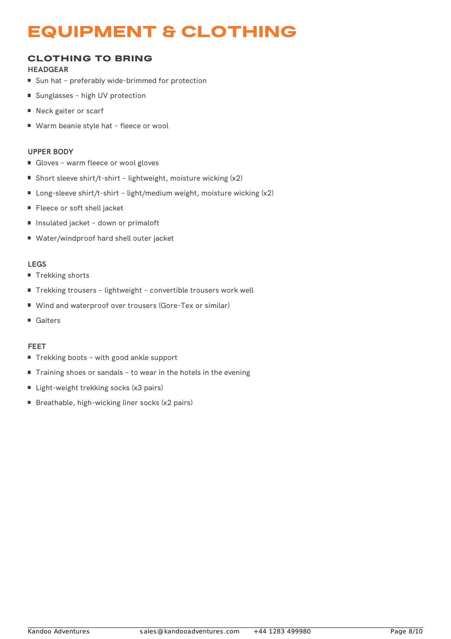## EQUIPMENT & CLOTHING

## CLOTHING TO BRING

### **HEADGEAR**

- Sun hat preferably wide-brimmed for protection
- Sunglasses high UV protection
- Neck gaiter or scarf
- Warm beanie style hat fleece or wool

### **UPPER BODY**

- Gloves warm fleece or wool gloves
- Short sleeve shirt/t-shirt lightweight, moisture wicking (x2)
- Long-sleeve shirt/t-shirt light/medium weight, moisture wicking (x2)
- Fleece or soft shell jacket
- Insulated jacket down or primaloft
- Water/windproof hard shell outer jacket

### **LEGS**

- Trekking shorts
- Trekking trousers lightweight convertible trousers work well
- Wind and waterproof over trousers (Gore-Tex or similar)
- Gaiters

### **FEET**

- Trekking boots with good ankle support
- Training shoes or sandals to wear in the hotels in the evening
- Light-weight trekking socks (x3 pairs)
- Breathable, high-wicking liner socks  $(x2$  pairs)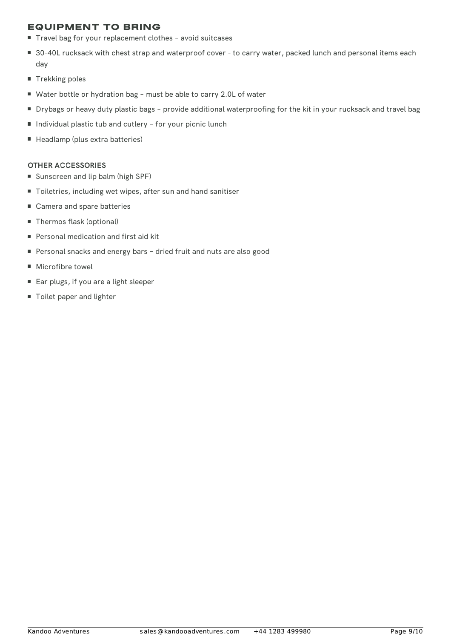## EQUIPMENT TO BRING

- Travel bag for your replacement clothes avoid suitcases
- 30-40L rucksack with chest strap and waterproof cover to carry water, packed lunch and personal items each day
- **Trekking poles**
- Water bottle or hydration bag must be able to carry 2.0L of water
- Drybags or heavy duty plastic bags provide additional waterproofing for the kit in your rucksack and travel bag
- Individual plastic tub and cutlery for your picnic lunch
- Headlamp (plus extra batteries)

### **OTHER ACCESSORIES**

- Sunscreen and lip balm (high SPF)
- Toiletries, including wet wipes, after sun and hand sanitiser
- Camera and spare batteries
- Thermos flask (optional)
- Personal medication and first aid kit
- Personal snacks and energy bars dried fruit and nuts are also good
- Microfibre towel
- Ear plugs, if you are a light sleeper
- Toilet paper and lighter